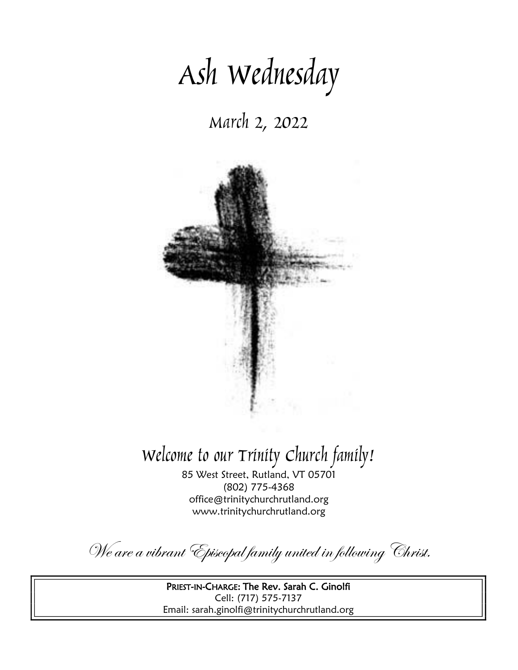# Ash Wednesday

March 2, 2022



# Welcome to our Trinity Church family!

85 West Street, Rutland, VT 05701 (802) 775-4368 office@trinitychurchrutland.org www.trinitychurchrutland.org

We are a vibrant Episcopal family united in following Christ.

PRIEST-IN-CHARGE: The Rev. Sarah C. Ginolfi Cell: (717) 575-7137 Email: sarah.ginolfi@trinitychurchrutland.org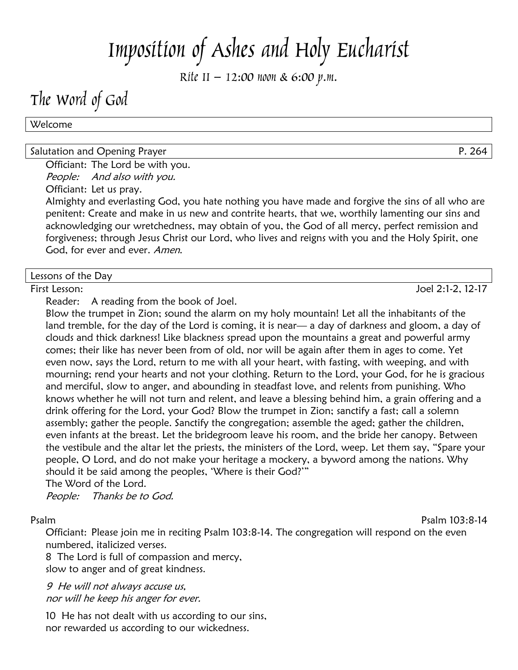# Imposition of Ashes and Holy Eucharist

Rite II – 12:00 noon & 6:00 p.m.

## The Word of God

Welcome

### Salutation and Opening Prayer **P. 264**

Officiant: The Lord be with you. People: And also with you.

Officiant: Let us pray.

Almighty and everlasting God, you hate nothing you have made and forgive the sins of all who are penitent: Create and make in us new and contrite hearts, that we, worthily lamenting our sins and acknowledging our wretchedness, may obtain of you, the God of all mercy, perfect remission and forgiveness; through Jesus Christ our Lord, who lives and reigns with you and the Holy Spirit, one God, for ever and ever. Amen.

| Lessons of the Day |  |  |  |
|--------------------|--|--|--|
|                    |  |  |  |

First Lesson: Joel 2:1-2, 12-17

Reader: A reading from the book of Joel.

Blow the trumpet in Zion; sound the alarm on my holy mountain! Let all the inhabitants of the land tremble, for the day of the Lord is coming, it is near— a day of darkness and gloom, a day of clouds and thick darkness! Like blackness spread upon the mountains a great and powerful army comes; their like has never been from of old, nor will be again after them in ages to come. Yet even now, says the Lord, return to me with all your heart, with fasting, with weeping, and with mourning; rend your hearts and not your clothing. Return to the Lord, your God, for he is gracious and merciful, slow to anger, and abounding in steadfast love, and relents from punishing. Who knows whether he will not turn and relent, and leave a blessing behind him, a grain offering and a drink offering for the Lord, your God? Blow the trumpet in Zion; sanctify a fast; call a solemn assembly; gather the people. Sanctify the congregation; assemble the aged; gather the children, even infants at the breast. Let the bridegroom leave his room, and the bride her canopy. Between the vestibule and the altar let the priests, the ministers of the Lord, weep. Let them say, "Spare your people, O Lord, and do not make your heritage a mockery, a byword among the nations. Why should it be said among the peoples, 'Where is their God?'"

The Word of the Lord.

People: Thanks be to God.

Psalm Psalm 103:8-14

Officiant: Please join me in reciting Psalm 103:8-14. The congregation will respond on the even numbered, italicized verses.

8 The Lord is full of compassion and mercy, slow to anger and of great kindness.

9 He will not always accuse us, nor will he keep his anger for ever.

10 He has not dealt with us according to our sins, nor rewarded us according to our wickedness.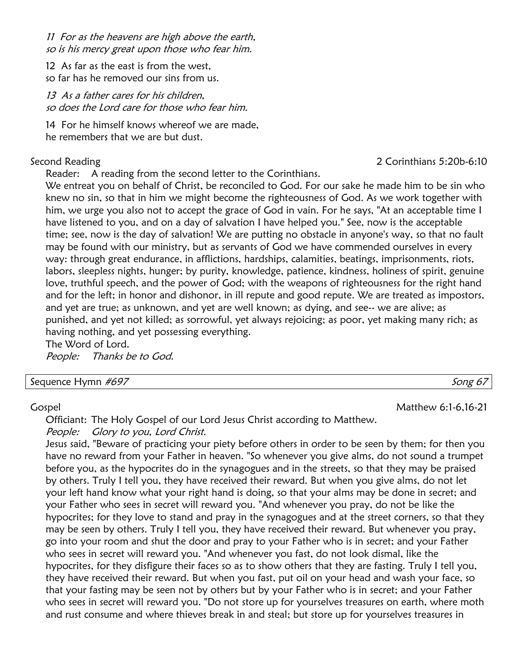11 For as the heavens are high above the earth, so is his mercy great upon those who fear him.

12 As far as the east is from the west, so far has he removed our sins from us.

13 As a father cares for his children. so does the Lord care for those who fear him.

14 For he himself knows whereof we are made, he remembers that we are but dust.

Reader: A reading from the second letter to the Corinthians.

We entreat you on behalf of Christ, be reconciled to God. For our sake he made him to be sin who knew no sin, so that in him we might become the righteousness of God. As we work together with him, we urge you also not to accept the grace of God in vain. For he says, "At an acceptable time I have listened to you, and on a day of salvation I have helped you." See, now is the acceptable time; see, now is the day of salvation! We are putting no obstacle in anyone's way, so that no fault may be found with our ministry, but as servants of God we have commended ourselves in every way: through great endurance, in afflictions, hardships, calamities, beatings, imprisonments, riots, labors, sleepless nights, hunger; by purity, knowledge, patience, kindness, holiness of spirit, genuine love, truthful speech, and the power of God; with the weapons of righteousness for the right hand and for the left; in honor and dishonor, in ill repute and good repute. We are treated as impostors, and yet are true; as unknown, and yet are well known; as dying, and see-- we are alive; as punished, and yet not killed; as sorrowful, yet always rejoicing; as poor, yet making many rich; as having nothing, and yet possessing everything.

The Word of Lord. People: Thanks be to God.

#### Sequence Hymn #697 Song 67

Gospel Matthew 6:1-6,16-21

Officiant: The Holy Gospel of our Lord Jesus Christ according to Matthew. People: Glory to you, Lord Christ.

Jesus said, "Beware of practicing your piety before others in order to be seen by them; for then you have no reward from your Father in heaven. "So whenever you give alms, do not sound a trumpet before you, as the hypocrites do in the synagogues and in the streets, so that they may be praised by others. Truly I tell you, they have received their reward. But when you give alms, do not let your left hand know what your right hand is doing, so that your alms may be done in secret; and your Father who sees in secret will reward you. "And whenever you pray, do not be like the hypocrites; for they love to stand and pray in the synagogues and at the street corners, so that they may be seen by others. Truly I tell you, they have received their reward. But whenever you pray, go into your room and shut the door and pray to your Father who is in secret; and your Father who sees in secret will reward you. "And whenever you fast, do not look dismal, like the hypocrites, for they disfigure their faces so as to show others that they are fasting. Truly I tell you, they have received their reward. But when you fast, put oil on your head and wash your face, so that your fasting may be seen not by others but by your Father who is in secret; and your Father who sees in secret will reward you. "Do not store up for yourselves treasures on earth, where moth and rust consume and where thieves break in and steal; but store up for yourselves treasures in

Second Reading 2 Corinthians 5:20b-6:10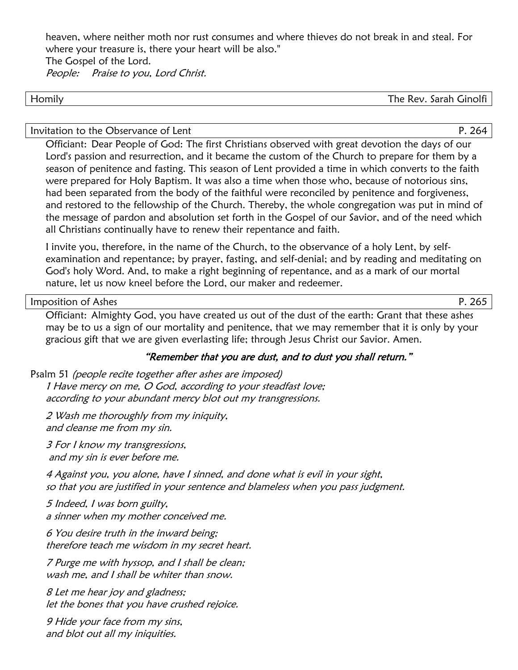heaven, where neither moth nor rust consumes and where thieves do not break in and steal. For where your treasure is, there your heart will be also." The Gospel of the Lord. People: Praise to you, Lord Christ.

Homily The Rev. Sarah Ginolfi

Invitation to the Observance of Lent Property Australian Control of the Property P. 264

Officiant: Dear People of God: The first Christians observed with great devotion the days of our Lord's passion and resurrection, and it became the custom of the Church to prepare for them by a season of penitence and fasting. This season of Lent provided a time in which converts to the faith were prepared for Holy Baptism. It was also a time when those who, because of notorious sins, had been separated from the body of the faithful were reconciled by penitence and forgiveness, and restored to the fellowship of the Church. Thereby, the whole congregation was put in mind of the message of pardon and absolution set forth in the Gospel of our Savior, and of the need which all Christians continually have to renew their repentance and faith.

I invite you, therefore, in the name of the Church, to the observance of a holy Lent, by selfexamination and repentance; by prayer, fasting, and self-denial; and by reading and meditating on God's holy Word. And, to make a right beginning of repentance, and as a mark of our mortal nature, let us now kneel before the Lord, our maker and redeemer.

| In         |  |  |     |        |  |     |  |
|------------|--|--|-----|--------|--|-----|--|
| $\sim$ cc. |  |  | . . | $\sim$ |  | . . |  |

Officiant: Almighty God, you have created us out of the dust of the earth: Grant that these ashes may be to us a sign of our mortality and penitence, that we may remember that it is only by your gracious gift that we are given everlasting life; through Jesus Christ our Savior. Amen.

## "Remember that you are dust, and to dust you shall return."

Psalm 51 (people recite together after ashes are imposed) 1 Have mercy on me, O God, according to your steadfast love; according to your abundant mercy blot out my transgressions.

2 Wash me thoroughly from my iniquity, and cleanse me from my sin.

3 For I know my transgressions, and my sin is ever before me.

4 Against you, you alone, have I sinned, and done what is evil in your sight, so that you are justified in your sentence and blameless when you pass judgment.

5 Indeed, I was born guilty, a sinner when my mother conceived me.

6 You desire truth in the inward being; therefore teach me wisdom in my secret heart.

7 Purge me with hyssop, and I shall be clean; wash me, and I shall be whiter than snow.

8 Let me hear joy and gladness; let the bones that you have crushed rejoice.

9 Hide your face from my sins, and blot out all my iniquities.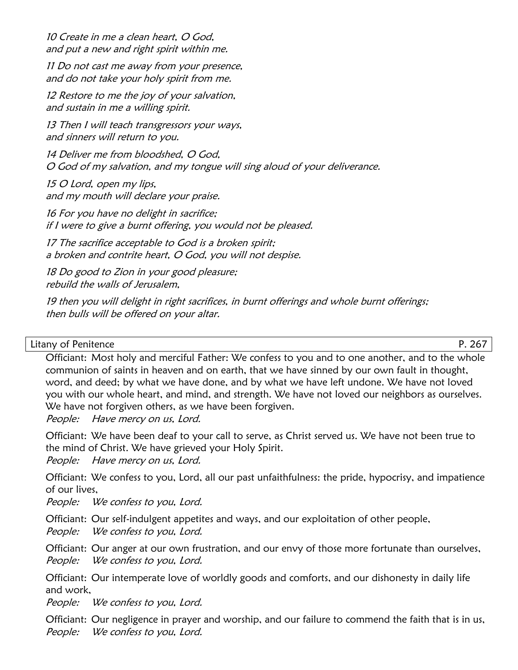10 Create in me a clean heart, O God, and put a new and right spirit within me.

11 Do not cast me away from your presence, and do not take your holy spirit from me.

12 Restore to me the joy of your salvation, and sustain in me a willing spirit.

13 Then I will teach transgressors your ways, and sinners will return to you.

14 Deliver me from bloodshed, O God, O God of my salvation, and my tongue will sing aloud of your deliverance.

15 O Lord, open my lips, and my mouth will declare your praise.

16 For you have no delight in sacrifice; if I were to give a burnt offering, you would not be pleased.

17 The sacrifice acceptable to God is a broken spirit; a broken and contrite heart, O God, you will not despise.

18 Do good to Zion in your good pleasure; rebuild the walls of Jerusalem,

19 then you will delight in right sacrifices, in burnt offerings and whole burnt offerings; then bulls will be offered on your altar.

#### Litany of Penitence **P. 267**

Officiant: Most holy and merciful Father: We confess to you and to one another, and to the whole communion of saints in heaven and on earth, that we have sinned by our own fault in thought, word, and deed; by what we have done, and by what we have left undone. We have not loved you with our whole heart, and mind, and strength. We have not loved our neighbors as ourselves. We have not forgiven others, as we have been forgiven.

People: Have mercy on us, Lord.

Officiant: We have been deaf to your call to serve, as Christ served us. We have not been true to the mind of Christ. We have grieved your Holy Spirit.

People: Have mercy on us, Lord.

Officiant: We confess to you, Lord, all our past unfaithfulness: the pride, hypocrisy, and impatience of our lives,

People: We confess to you, Lord.

Officiant: Our self-indulgent appetites and ways, and our exploitation of other people, People: We confess to you, Lord.

Officiant: Our anger at our own frustration, and our envy of those more fortunate than ourselves, People: We confess to you, Lord.

Officiant: Our intemperate love of worldly goods and comforts, and our dishonesty in daily life and work,

People: We confess to you, Lord.

Officiant: Our negligence in prayer and worship, and our failure to commend the faith that is in us, People: We confess to you, Lord.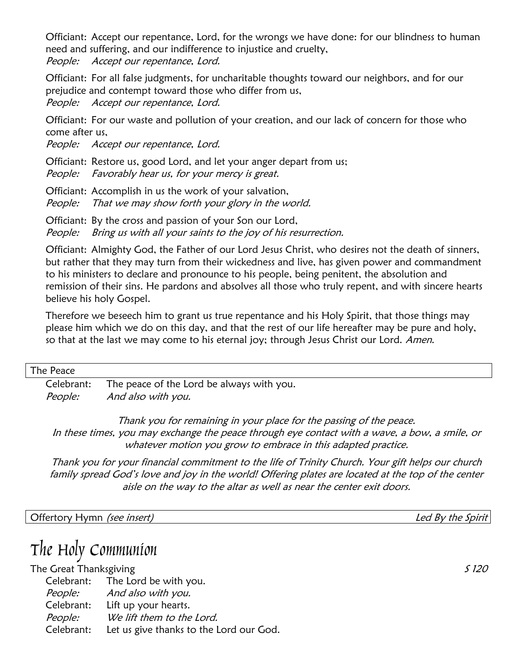Officiant: Accept our repentance, Lord, for the wrongs we have done: for our blindness to human need and suffering, and our indifference to injustice and cruelty,

People: Accept our repentance, Lord.

Officiant: For all false judgments, for uncharitable thoughts toward our neighbors, and for our prejudice and contempt toward those who differ from us,

People: Accept our repentance, Lord.

Officiant: For our waste and pollution of your creation, and our lack of concern for those who come after us,

People: Accept our repentance, Lord.

Officiant: Restore us, good Lord, and let your anger depart from us; People: Favorably hear us, for your mercy is great.

Officiant: Accomplish in us the work of your salvation,

People: That we may show forth your glory in the world.

Officiant: By the cross and passion of your Son our Lord,

People: Bring us with all your saints to the joy of his resurrection.

Officiant: Almighty God, the Father of our Lord Jesus Christ, who desires not the death of sinners, but rather that they may turn from their wickedness and live, has given power and commandment to his ministers to declare and pronounce to his people, being penitent, the absolution and remission of their sins. He pardons and absolves all those who truly repent, and with sincere hearts believe his holy Gospel.

Therefore we beseech him to grant us true repentance and his Holy Spirit, that those things may please him which we do on this day, and that the rest of our life hereafter may be pure and holy, so that at the last we may come to his eternal joy; through Jesus Christ our Lord. Amen.

#### The Peace

Celebrant: The peace of the Lord be always with you. People: And also with you.

Thank you for remaining in your place for the passing of the peace. In these times, you may exchange the peace through eye contact with a wave, a bow, a smile, or whatever motion you grow to embrace in this adapted practice.

Thank you for your financial commitment to the life of Trinity Church. Your gift helps our church family spread God's love and joy in the world! Offering plates are located at the top of the center aisle on the way to the altar as well as near the center exit doors.

Offertory Hymn (see insert) and the Spirit Control of the Spirit Control of the Spirit Control of the Spirit Control of the Spirit Control of the Spirit Control of the Spirit Control of the Spirit Control of the Spirit Con

## The Holy Communion

The Great Thanksgiving S 120

|                | Celebrant: The Lord be with you.        |
|----------------|-----------------------------------------|
| <i>People:</i> | And also with you.                      |
| Celebrant:     | Lift up your hearts.                    |
| People:        | We lift them to the Lord.               |
| Celebrant:     | Let us give thanks to the Lord our God. |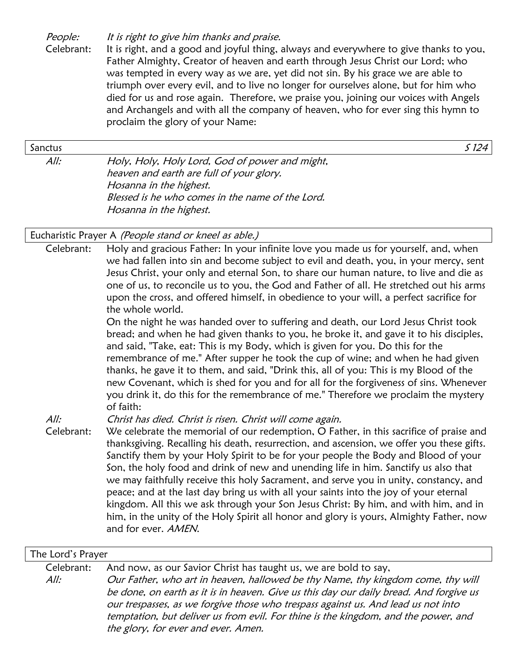People: It is right to give him thanks and praise.

Celebrant: It is right, and a good and joyful thing, always and everywhere to give thanks to you, Father Almighty, Creator of heaven and earth through Jesus Christ our Lord; who was tempted in every way as we are, yet did not sin. By his grace we are able to triumph over every evil, and to live no longer for ourselves alone, but for him who died for us and rose again. Therefore, we praise you, joining our voices with Angels and Archangels and with all the company of heaven, who for ever sing this hymn to proclaim the glory of your Name:

| Sanctus    | S 124                                                                                                                                                                                                                                                                                                                                                                                                                                                                                                        |
|------------|--------------------------------------------------------------------------------------------------------------------------------------------------------------------------------------------------------------------------------------------------------------------------------------------------------------------------------------------------------------------------------------------------------------------------------------------------------------------------------------------------------------|
| All:       | Holy, Holy, Holy Lord, God of power and might,<br>heaven and earth are full of your glory.                                                                                                                                                                                                                                                                                                                                                                                                                   |
|            | Hosanna in the highest.                                                                                                                                                                                                                                                                                                                                                                                                                                                                                      |
|            | Blessed is he who comes in the name of the Lord.                                                                                                                                                                                                                                                                                                                                                                                                                                                             |
|            | Hosanna in the highest.                                                                                                                                                                                                                                                                                                                                                                                                                                                                                      |
|            | Eucharistic Prayer A (People stand or kneel as able.)                                                                                                                                                                                                                                                                                                                                                                                                                                                        |
| Celebrant: | Holy and gracious Father: In your infinite love you made us for yourself, and, when<br>we had fallen into sin and become subject to evil and death, you, in your mercy, sent<br>Jesus Christ, your only and eternal Son, to share our human nature, to live and die as<br>$\mathcal{C}$ is a set of the set of the set of the set of the set of the set of the set of the set of the set of the set of the set of the set of the set of the set of the set of the set of the set of the set of the set of th |

one of us, to reconcile us to you, the God and Father of all. He stretched out his arms upon the cross, and offered himself, in obedience to your will, a perfect sacrifice for the whole world. On the night he was handed over to suffering and death, our Lord Jesus Christ took bread; and when he had given thanks to you, he broke it, and gave it to his disciples, and said, "Take, eat: This is my Body, which is given for you. Do this for the remembrance of me." After supper he took the cup of wine; and when he had given

thanks, he gave it to them, and said, "Drink this, all of you: This is my Blood of the new Covenant, which is shed for you and for all for the forgiveness of sins. Whenever you drink it, do this for the remembrance of me." Therefore we proclaim the mystery of faith:

All: Christ has died. Christ is risen. Christ will come again.

Celebrant: We celebrate the memorial of our redemption, O Father, in this sacrifice of praise and thanksgiving. Recalling his death, resurrection, and ascension, we offer you these gifts. Sanctify them by your Holy Spirit to be for your people the Body and Blood of your Son, the holy food and drink of new and unending life in him. Sanctify us also that we may faithfully receive this holy Sacrament, and serve you in unity, constancy, and peace; and at the last day bring us with all your saints into the joy of your eternal kingdom. All this we ask through your Son Jesus Christ: By him, and with him, and in him, in the unity of the Holy Spirit all honor and glory is yours, Almighty Father, now and for ever. AMEN.

### The Lord's Prayer

Celebrant: And now, as our Savior Christ has taught us, we are bold to say, All: Our Father, who art in heaven, hallowed be thy Name, thy kingdom come, thy will be done, on earth as it is in heaven. Give us this day our daily bread. And forgive us our trespasses, as we forgive those who trespass against us. And lead us not into temptation, but deliver us from evil. For thine is the kingdom, and the power, and the glory, for ever and ever. Amen.